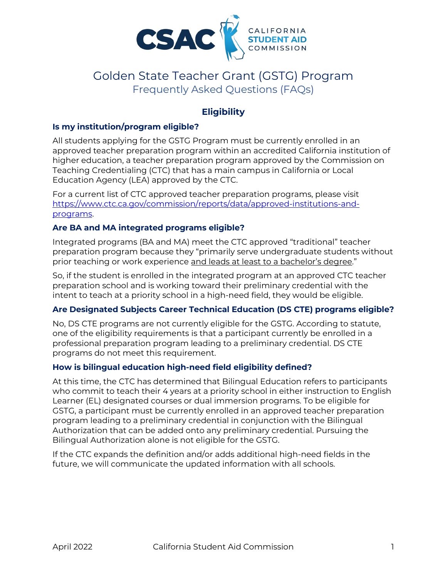

# 'Golden State Teacher Grant (GSTG) Program Frequently Asked Questions (FAQs)

# **Eligibility**

## **Is my institution/program eligible?**

 Education Agency (LEA) approved by the CTC. All students applying for the GSTG Program must be currently enrolled in an approved teacher preparation program within an accredited California institution of higher education, a teacher preparation program approved by the Commission on Teaching Credentialing (CTC) that has a main campus in California or Local

For a current list of CTC approved teacher preparation programs, please visit [https://www.ctc.ca.gov/commission/reports/data/approved-institutions-and](https://www.ctc.ca.gov/commission/reports/data/approved-institutions-and-programs)[programs.](https://www.ctc.ca.gov/commission/reports/data/approved-institutions-and-programs) 

#### **Are BA and MA integrated programs eligible?**

Integrated programs (BA and MA) meet the CTC approved "traditional" teacher preparation program because they "primarily serve undergraduate students without prior teaching or work experience and leads at least to a bachelor's degree."

 intent to teach at a priority school in a high-need field, they would be eligible. So, if the student is enrolled in the integrated program at an approved CTC teacher preparation school and is working toward their preliminary credential with the

# **Are Designated Subjects Career Technical Education (DS CTE) programs eligible?**

 programs do not meet this requirement. No, DS CTE programs are not currently eligible for the GSTG. According to statute, one of the eligibility requirements is that a participant currently be enrolled in a professional preparation program leading to a preliminary credential. DS CTE

#### **How is bilingual education high-need field eligibility defined?**

 Bilingual Authorization alone is not eligible for the GSTG. At this time, the CTC has determined that Bilingual Education refers to participants who commit to teach their 4 years at a priority school in either instruction to English Learner (EL) designated courses or dual immersion programs. To be eligible for GSTG, a participant must be currently enrolled in an approved teacher preparation program leading to a preliminary credential in conjunction with the Bilingual Authorization that can be added onto any preliminary credential. Pursuing the

If the CTC expands the definition and/or adds additional high-need fields in the future, we will communicate the updated information with all schools.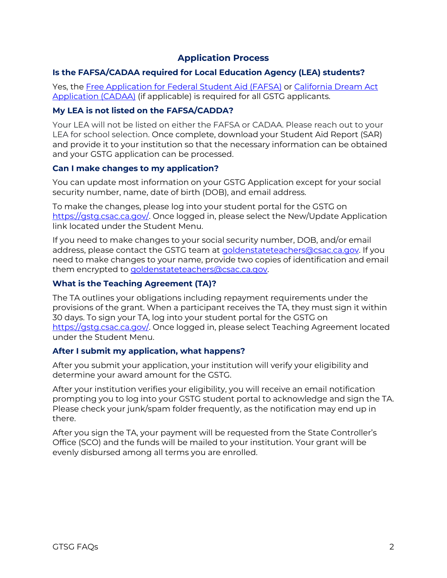# **Application Process**

## **Is the FAFSA/CADAA required for Local Education Agency (LEA) students?**

Yes, the <u>Free Application for Federal Student Aid (FAFSA)</u> or <u>California Dream Act</u> [Application \(CADAA\)](https://dream.csac.ca.gov/landing) (if applicable) is required for all GSTG applicants.

#### **My LEA is not listed on the FAFSA/CADDA?**

 Your LEA will not be listed on either the FAFSA or CADAA. Please reach out to your LEA for school selection. Once complete, download your Student Aid Report (SAR) and provide it to your institution so that the necessary information can be obtained and your GSTG application can be processed.

#### **Can I make changes to my application?**

You can update most information on your GSTG Application except for your social security number, name, date of birth (DOB), and email address.

 To make the changes, please log into your student portal for the GSTG on [https://gstg.csac.ca.gov/.](https://gstg.csac.ca.gov/) Once logged in, please select the New/Update Application link located under the Student Menu.

 need to make changes to your name, provide two copies of identification and email If you need to make changes to your social security number, DOB, and/or email address, please contact the GSTG team at [goldenstateteachers@csac.ca.gov.](mailto:goldenstateteachers@csac.ca.gov) If you them encrypted to goldenstateteachers@csac.ca.gov.

#### **What is the Teaching Agreement (TA)?**

 30 days. To sign your TA, log into your student portal for the GSTG on The TA outlines your obligations including repayment requirements under the provisions of the grant. When a participant receives the TA, they must sign it within [https://gstg.csac.ca.gov/.](https://gstg.csac.ca.gov/) Once logged in, please select Teaching Agreement located under the Student Menu.

#### **After I submit my application, what happens?**

After you submit your application, your institution will verify your eligibility and determine your award amount for the GSTG.

 prompting you to log into your GSTG student portal to acknowledge and sign the TA. After your institution verifies your eligibility, you will receive an email notification Please check your junk/spam folder frequently, as the notification may end up in there.

After you sign the TA, your payment will be requested from the State Controller's Office (SCO) and the funds will be mailed to your institution. Your grant will be evenly disbursed among all terms you are enrolled.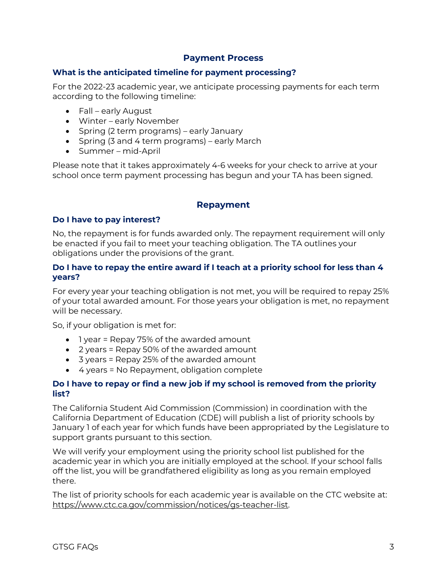# **Payment Process**

#### **What is the anticipated timeline for payment processing?**

 For the 2022-23 academic year, we anticipate processing payments for each term according to the following timeline:

- Fall early August
- Winter early November
- Spring (2 term programs) early January
- Spring (3 and 4 term programs) early March
- Summer-mid-April

Please note that it takes approximately 4-6 weeks for your check to arrive at your school once term payment processing has begun and your TA has been signed.

#### **Repayment**

#### **Do I have to pay interest?**

 No, the repayment is for funds awarded only. The repayment requirement will only obligations under the provisions of the grant. be enacted if you fail to meet your teaching obligation. The TA outlines your

#### **Do I have to repay the entire award if I teach at a priority school for less than 4 years?**

 of your total awarded amount. For those years your obligation is met, no repayment For every year your teaching obligation is not met, you will be required to repay 25% will be necessary.

So, if your obligation is met for:

- 1 year = Repay 75% of the awarded amount
- 2 years = Repay 50% of the awarded amount
- 3 years = Repay 25% of the awarded amount
- 4 years = No Repayment, obligation complete

#### **Do I have to repay or find a new job if my school is removed from the priority list?**

The California Student Aid Commission (Commission) in coordination with the California Department of Education (CDE) will publish a list of priority schools by January 1 of each year for which funds have been appropriated by the Legislature to support grants pursuant to this section.

We will verify your employment using the priority school list published for the academic year in which you are initially employed at the school. If your school falls off the list, you will be grandfathered eligibility as long as you remain employed there.

 The list of priority schools for each academic year is available on the CTC website at: [https://www.ctc.ca.gov/commission/notices/gs-teacher-list.](https://www.ctc.ca.gov/commission/notices/gs-teacher-list)